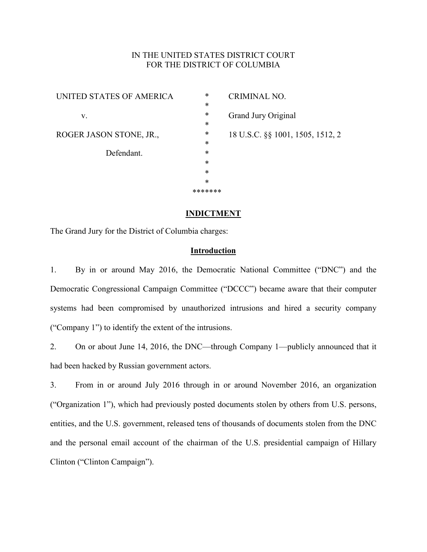## IN THE UNITED STATES DISTRICT COURT FOR THE DISTRICT OF COLUMBIA

| UNITED STATES OF AMERICA | $\ast$<br>$\ast$ | <b>CRIMINAL NO.</b>              |
|--------------------------|------------------|----------------------------------|
| V.                       | $\ast$           | Grand Jury Original              |
| ROGER JASON STONE, JR.,  | $\ast$<br>$\ast$ |                                  |
|                          | $\ast$           | 18 U.S.C. §§ 1001, 1505, 1512, 2 |
| Defendant.               | $\ast$           |                                  |
|                          | $\ast$           |                                  |
|                          | $\ast$           |                                  |
|                          | $\ast$           |                                  |
|                          | *******          |                                  |

### **INDICTMENT**

The Grand Jury for the District of Columbia charges:

#### **Introduction**

<span id="page-0-0"></span>1. By in or around May 2016, the Democratic National Committee ("DNC") and the Democratic Congressional Campaign Committee ("DCCC") became aware that their computer systems had been compromised by unauthorized intrusions and hired a security company ("Company 1") to identify the extent of the intrusions.

2. On or about June 14, 2016, the DNC—through Company 1—publicly announced that it had been hacked by Russian government actors.

3. From in or around July 2016 through in or around November 2016, an organization ("Organization 1"), which had previously posted documents stolen by others from U.S. persons, entities, and the U.S. government, released tens of thousands of documents stolen from the DNC and the personal email account of the chairman of the U.S. presidential campaign of Hillary Clinton ("Clinton Campaign").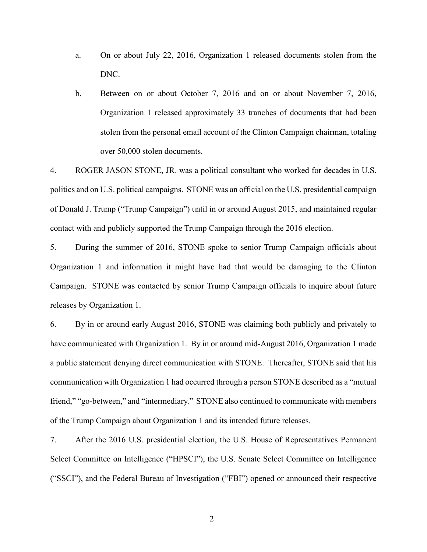- a. On or about July 22, 2016, Organization 1 released documents stolen from the DNC.
- b. Between on or about October 7, 2016 and on or about November 7, 2016, Organization 1 released approximately 33 tranches of documents that had been stolen from the personal email account of the Clinton Campaign chairman, totaling over 50,000 stolen documents.

4. ROGER JASON STONE, JR. was a political consultant who worked for decades in U.S. politics and on U.S. political campaigns. STONE was an official on the U.S. presidential campaign of Donald J. Trump ("Trump Campaign") until in or around August 2015, and maintained regular contact with and publicly supported the Trump Campaign through the 2016 election.

5. During the summer of 2016, STONE spoke to senior Trump Campaign officials about Organization 1 and information it might have had that would be damaging to the Clinton Campaign. STONE was contacted by senior Trump Campaign officials to inquire about future releases by Organization 1.

6. By in or around early August 2016, STONE was claiming both publicly and privately to have communicated with Organization 1. By in or around mid-August 2016, Organization 1 made a public statement denying direct communication with STONE. Thereafter, STONE said that his communication with Organization 1 had occurred through a person STONE described as a "mutual friend," "go-between," and "intermediary." STONE also continued to communicate with members of the Trump Campaign about Organization 1 and its intended future releases.

7. After the 2016 U.S. presidential election, the U.S. House of Representatives Permanent Select Committee on Intelligence ("HPSCI"), the U.S. Senate Select Committee on Intelligence ("SSCI"), and the Federal Bureau of Investigation ("FBI") opened or announced their respective

2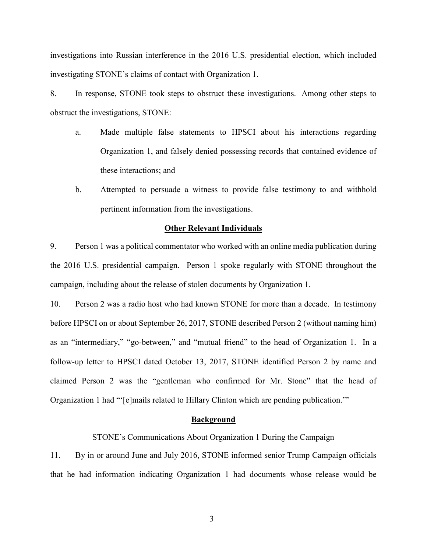investigations into Russian interference in the 2016 U.S. presidential election, which included investigating STONE's claims of contact with Organization 1.

8. In response, STONE took steps to obstruct these investigations. Among other steps to obstruct the investigations, STONE:

- a. Made multiple false statements to HPSCI about his interactions regarding Organization 1, and falsely denied possessing records that contained evidence of these interactions; and
- b. Attempted to persuade a witness to provide false testimony to and withhold pertinent information from the investigations.

#### **Other Relevant Individuals**

9. Person 1 was a political commentator who worked with an online media publication during the 2016 U.S. presidential campaign. Person 1 spoke regularly with STONE throughout the campaign, including about the release of stolen documents by Organization 1.

10. Person 2 was a radio host who had known STONE for more than a decade. In testimony before HPSCI on or about September 26, 2017, STONE described Person 2 (without naming him) as an "intermediary," "go-between," and "mutual friend" to the head of Organization 1. In a follow-up letter to HPSCI dated October 13, 2017, STONE identified Person 2 by name and claimed Person 2 was the "gentleman who confirmed for Mr. Stone" that the head of Organization 1 had "'[e]mails related to Hillary Clinton which are pending publication.'"

#### **Background**

### STONE's Communications About Organization 1 During the Campaign

11. By in or around June and July 2016, STONE informed senior Trump Campaign officials that he had information indicating Organization 1 had documents whose release would be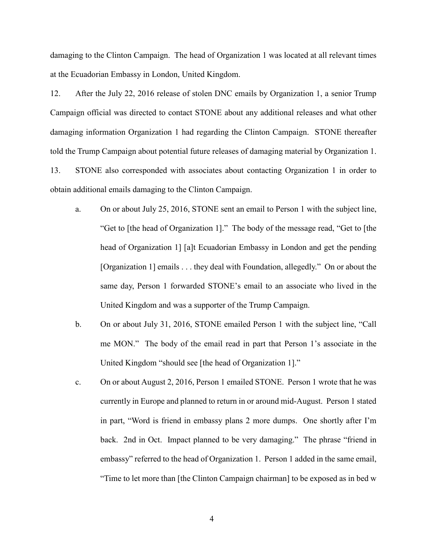damaging to the Clinton Campaign. The head of Organization 1 was located at all relevant times at the Ecuadorian Embassy in London, United Kingdom.

12. After the July 22, 2016 release of stolen DNC emails by Organization 1, a senior Trump Campaign official was directed to contact STONE about any additional releases and what other damaging information Organization 1 had regarding the Clinton Campaign. STONE thereafter told the Trump Campaign about potential future releases of damaging material by Organization 1. 13. STONE also corresponded with associates about contacting Organization 1 in order to obtain additional emails damaging to the Clinton Campaign.

- a. On or about July 25, 2016, STONE sent an email to Person 1 with the subject line, "Get to [the head of Organization 1]." The body of the message read, "Get to [the head of Organization 1] [a]t Ecuadorian Embassy in London and get the pending [Organization 1] emails . . . they deal with Foundation, allegedly." On or about the same day, Person 1 forwarded STONE's email to an associate who lived in the United Kingdom and was a supporter of the Trump Campaign.
- b. On or about July 31, 2016, STONE emailed Person 1 with the subject line, "Call me MON." The body of the email read in part that Person 1's associate in the United Kingdom "should see [the head of Organization 1]."
- c. On or about August 2, 2016, Person 1 emailed STONE. Person 1 wrote that he was currently in Europe and planned to return in or around mid-August. Person 1 stated in part, "Word is friend in embassy plans 2 more dumps. One shortly after I'm back. 2nd in Oct. Impact planned to be very damaging." The phrase "friend in embassy" referred to the head of Organization 1. Person 1 added in the same email, "Time to let more than [the Clinton Campaign chairman] to be exposed as in bed w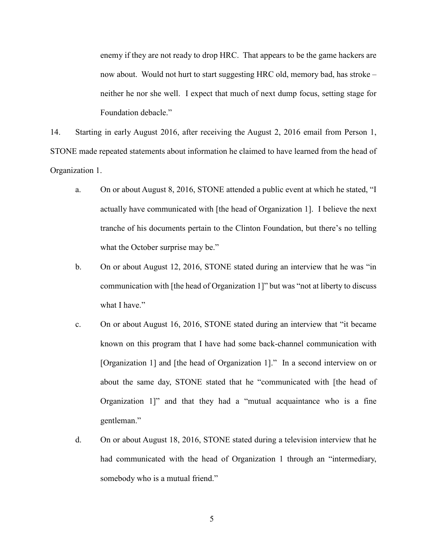enemy if they are not ready to drop HRC. That appears to be the game hackers are now about. Would not hurt to start suggesting HRC old, memory bad, has stroke – neither he nor she well. I expect that much of next dump focus, setting stage for Foundation debacle."

14. Starting in early August 2016, after receiving the August 2, 2016 email from Person 1, STONE made repeated statements about information he claimed to have learned from the head of Organization 1.

- a. On or about August 8, 2016, STONE attended a public event at which he stated, "I actually have communicated with [the head of Organization 1]. I believe the next tranche of his documents pertain to the Clinton Foundation, but there's no telling what the October surprise may be."
- b. On or about August 12, 2016, STONE stated during an interview that he was "in communication with [the head of Organization 1]" but was "not at liberty to discuss what I have."
- c. On or about August 16, 2016, STONE stated during an interview that "it became known on this program that I have had some back-channel communication with [Organization 1] and [the head of Organization 1]." In a second interview on or about the same day, STONE stated that he "communicated with [the head of Organization 1]" and that they had a "mutual acquaintance who is a fine gentleman."
- d. On or about August 18, 2016, STONE stated during a television interview that he had communicated with the head of Organization 1 through an "intermediary, somebody who is a mutual friend."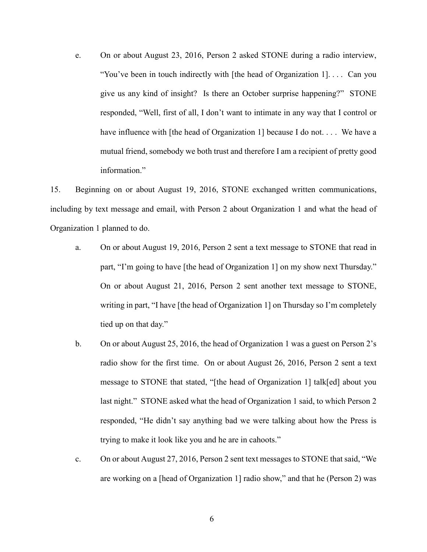e. On or about August 23, 2016, Person 2 asked STONE during a radio interview, "You've been in touch indirectly with [the head of Organization 1]. . . . Can you give us any kind of insight? Is there an October surprise happening?" STONE responded, "Well, first of all, I don't want to intimate in any way that I control or have influence with [the head of Organization 1] because I do not. . . . We have a mutual friend, somebody we both trust and therefore I am a recipient of pretty good information."

15. Beginning on or about August 19, 2016, STONE exchanged written communications, including by text message and email, with Person 2 about Organization 1 and what the head of Organization 1 planned to do.

- a. On or about August 19, 2016, Person 2 sent a text message to STONE that read in part, "I'm going to have [the head of Organization 1] on my show next Thursday." On or about August 21, 2016, Person 2 sent another text message to STONE, writing in part, "I have [the head of Organization 1] on Thursday so I'm completely tied up on that day."
- b. On or about August 25, 2016, the head of Organization 1 was a guest on Person 2's radio show for the first time. On or about August 26, 2016, Person 2 sent a text message to STONE that stated, "[the head of Organization 1] talk[ed] about you last night." STONE asked what the head of Organization 1 said, to which Person 2 responded, "He didn't say anything bad we were talking about how the Press is trying to make it look like you and he are in cahoots."
- c. On or about August 27, 2016, Person 2 sent text messages to STONE that said, "We are working on a [head of Organization 1] radio show," and that he (Person 2) was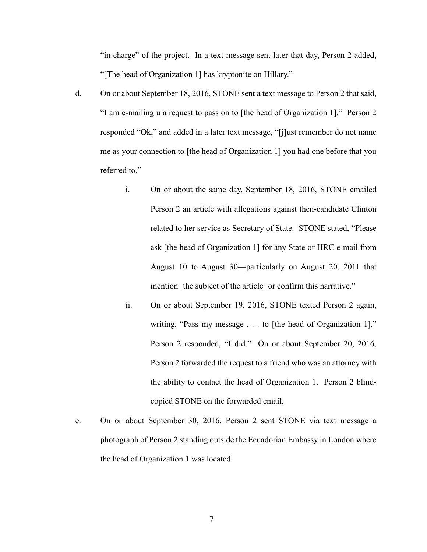"in charge" of the project. In a text message sent later that day, Person 2 added, "[The head of Organization 1] has kryptonite on Hillary."

- d. On or about September 18, 2016, STONE sent a text message to Person 2 that said, "I am e-mailing u a request to pass on to [the head of Organization 1]." Person 2 responded "Ok," and added in a later text message, "[j]ust remember do not name me as your connection to [the head of Organization 1] you had one before that you referred to."
	- i. On or about the same day, September 18, 2016, STONE emailed Person 2 an article with allegations against then-candidate Clinton related to her service as Secretary of State. STONE stated, "Please ask [the head of Organization 1] for any State or HRC e-mail from August 10 to August 30—particularly on August 20, 2011 that mention [the subject of the article] or confirm this narrative."
	- ii. On or about September 19, 2016, STONE texted Person 2 again, writing, "Pass my message . . . to [the head of Organization 1]." Person 2 responded, "I did." On or about September 20, 2016, Person 2 forwarded the request to a friend who was an attorney with the ability to contact the head of Organization 1. Person 2 blindcopied STONE on the forwarded email.
- e. On or about September 30, 2016, Person 2 sent STONE via text message a photograph of Person 2 standing outside the Ecuadorian Embassy in London where the head of Organization 1 was located.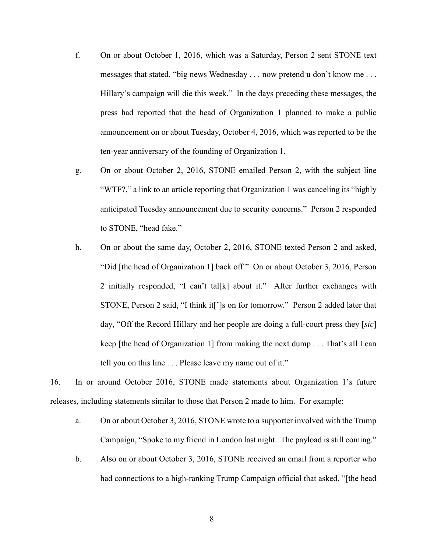- f. On or about October 1, 2016, which was a Saturday, Person 2 sent STONE text messages that stated, "big news Wednesday . . . now pretend u don't know me . . . Hillary's campaign will die this week." In the days preceding these messages, the press had reported that the head of Organization 1 planned to make a public announcement on or about Tuesday, October 4, 2016, which was reported to be the ten-year anniversary of the founding of Organization 1.
- g. On or about October 2, 2016, STONE emailed Person 2, with the subject line "WTF?," a link to an article reporting that Organization 1 was canceling its "highly anticipated Tuesday announcement due to security concerns." Person 2 responded to STONE, "head fake."
- h. On or about the same day, October 2, 2016, STONE texted Person 2 and asked, "Did [the head of Organization 1] back off." On or about October 3, 2016, Person 2 initially responded, "I can't tal[k] about it." After further exchanges with STONE, Person 2 said, "I think it[']s on for tomorrow." Person 2 added later that day, "Off the Record Hillary and her people are doing a full-court press they [*sic*] keep [the head of Organization 1] from making the next dump . . . That's all I can tell you on this line . . . Please leave my name out of it."

16. In or around October 2016, STONE made statements about Organization 1's future releases, including statements similar to those that Person 2 made to him. For example:

- a. On or about October 3, 2016, STONE wrote to a supporter involved with the Trump Campaign, "Spoke to my friend in London last night. The payload is still coming."
- b. Also on or about October 3, 2016, STONE received an email from a reporter who had connections to a high-ranking Trump Campaign official that asked, "[the head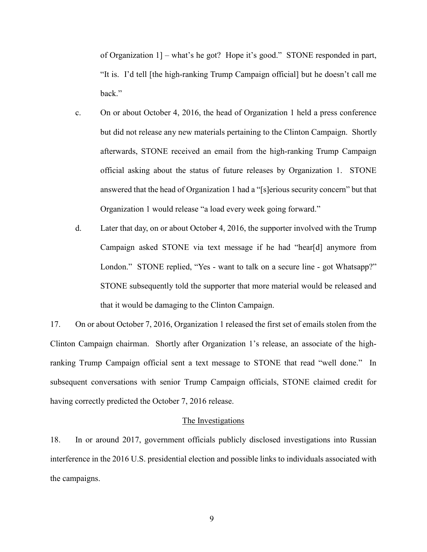of Organization 1] – what's he got? Hope it's good." STONE responded in part, "It is. I'd tell [the high-ranking Trump Campaign official] but he doesn't call me back."

- c. On or about October 4, 2016, the head of Organization 1 held a press conference but did not release any new materials pertaining to the Clinton Campaign. Shortly afterwards, STONE received an email from the high-ranking Trump Campaign official asking about the status of future releases by Organization 1. STONE answered that the head of Organization 1 had a "[s]erious security concern" but that Organization 1 would release "a load every week going forward."
- d. Later that day, on or about October 4, 2016, the supporter involved with the Trump Campaign asked STONE via text message if he had "hear[d] anymore from London." STONE replied, "Yes - want to talk on a secure line - got Whatsapp?" STONE subsequently told the supporter that more material would be released and that it would be damaging to the Clinton Campaign.

17. On or about October 7, 2016, Organization 1 released the first set of emails stolen from the Clinton Campaign chairman. Shortly after Organization 1's release, an associate of the highranking Trump Campaign official sent a text message to STONE that read "well done." In subsequent conversations with senior Trump Campaign officials, STONE claimed credit for having correctly predicted the October 7, 2016 release.

#### The Investigations

18. In or around 2017, government officials publicly disclosed investigations into Russian interference in the 2016 U.S. presidential election and possible links to individuals associated with the campaigns.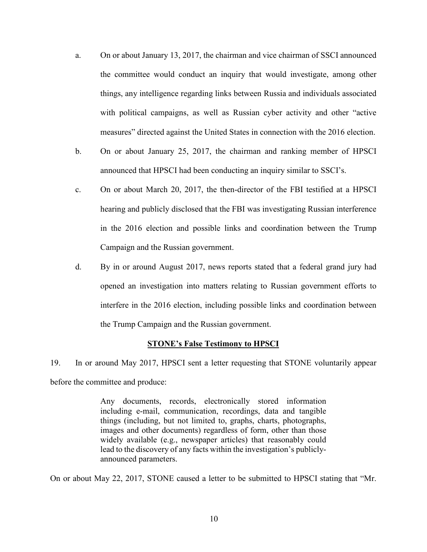- a. On or about January 13, 2017, the chairman and vice chairman of SSCI announced the committee would conduct an inquiry that would investigate, among other things, any intelligence regarding links between Russia and individuals associated with political campaigns, as well as Russian cyber activity and other "active measures" directed against the United States in connection with the 2016 election.
- b. On or about January 25, 2017, the chairman and ranking member of HPSCI announced that HPSCI had been conducting an inquiry similar to SSCI's.
- c. On or about March 20, 2017, the then-director of the FBI testified at a HPSCI hearing and publicly disclosed that the FBI was investigating Russian interference in the 2016 election and possible links and coordination between the Trump Campaign and the Russian government.
- d. By in or around August 2017, news reports stated that a federal grand jury had opened an investigation into matters relating to Russian government efforts to interfere in the 2016 election, including possible links and coordination between the Trump Campaign and the Russian government.

#### **STONE's False Testimony to HPSCI**

19. In or around May 2017, HPSCI sent a letter requesting that STONE voluntarily appear before the committee and produce:

> Any documents, records, electronically stored information including e-mail, communication, recordings, data and tangible things (including, but not limited to, graphs, charts, photographs, images and other documents) regardless of form, other than those widely available (e.g., newspaper articles) that reasonably could lead to the discovery of any facts within the investigation's publiclyannounced parameters.

On or about May 22, 2017, STONE caused a letter to be submitted to HPSCI stating that "Mr.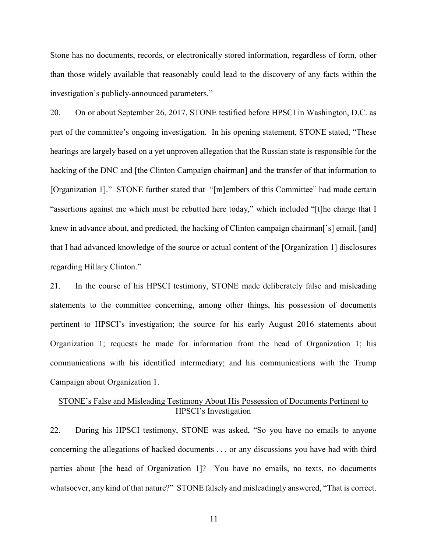Stone has no documents, records, or electronically stored information, regardless of form, other than those widely available that reasonably could lead to the discovery of any facts within the investigation's publicly-announced parameters."

20. On or about September 26, 2017, STONE testified before HPSCI in Washington, D.C. as part of the committee's ongoing investigation. In his opening statement, STONE stated, "These hearings are largely based on a yet unproven allegation that the Russian state is responsible for the hacking of the DNC and [the Clinton Campaign chairman] and the transfer of that information to [Organization 1]." STONE further stated that "[m]embers of this Committee" had made certain "assertions against me which must be rebutted here today," which included "[t]he charge that I knew in advance about, and predicted, the hacking of Clinton campaign chairman<sup>['s]</sup> email, [and] that I had advanced knowledge of the source or actual content of the [Organization 1] disclosures regarding Hillary Clinton."

21. In the course of his HPSCI testimony, STONE made deliberately false and misleading statements to the committee concerning, among other things, his possession of documents pertinent to HPSCI's investigation; the source for his early August 2016 statements about Organization 1; requests he made for information from the head of Organization 1; his communications with his identified intermediary; and his communications with the Trump Campaign about Organization 1.

## STONE's False and Misleading Testimony About His Possession of Documents Pertinent to HPSCI's Investigation

22. During his HPSCI testimony, STONE was asked, "So you have no emails to anyone concerning the allegations of hacked documents . . . or any discussions you have had with third parties about [the head of Organization 1]? You have no emails, no texts, no documents whatsoever, any kind of that nature?" STONE falsely and misleadingly answered, "That is correct.

11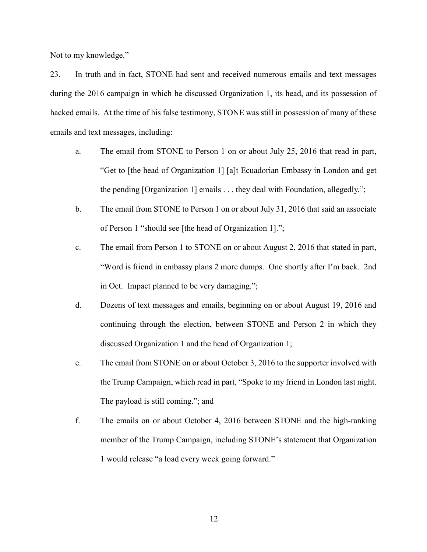Not to my knowledge."

23. In truth and in fact, STONE had sent and received numerous emails and text messages during the 2016 campaign in which he discussed Organization 1, its head, and its possession of hacked emails. At the time of his false testimony, STONE was still in possession of many of these emails and text messages, including:

- a. The email from STONE to Person 1 on or about July 25, 2016 that read in part, "Get to [the head of Organization 1] [a]t Ecuadorian Embassy in London and get the pending [Organization 1] emails . . . they deal with Foundation, allegedly.";
- b. The email from STONE to Person 1 on or about July 31, 2016 that said an associate of Person 1 "should see [the head of Organization 1].";
- c. The email from Person 1 to STONE on or about August 2, 2016 that stated in part, "Word is friend in embassy plans 2 more dumps. One shortly after I'm back. 2nd in Oct. Impact planned to be very damaging.";
- d. Dozens of text messages and emails, beginning on or about August 19, 2016 and continuing through the election, between STONE and Person 2 in which they discussed Organization 1 and the head of Organization 1;
- e. The email from STONE on or about October 3, 2016 to the supporter involved with the Trump Campaign, which read in part, "Spoke to my friend in London last night. The payload is still coming."; and
- f. The emails on or about October 4, 2016 between STONE and the high-ranking member of the Trump Campaign, including STONE's statement that Organization 1 would release "a load every week going forward."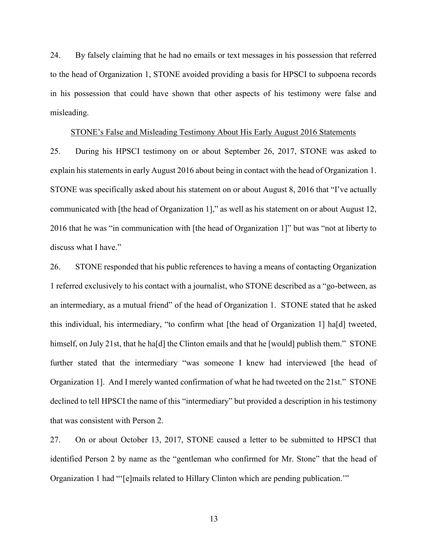24. By falsely claiming that he had no emails or text messages in his possession that referred to the head of Organization 1, STONE avoided providing a basis for HPSCI to subpoena records in his possession that could have shown that other aspects of his testimony were false and misleading.

#### STONE's False and Misleading Testimony About His Early August 2016 Statements

25. During his HPSCI testimony on or about September 26, 2017, STONE was asked to explain hisstatements in early August 2016 about being in contact with the head of Organization 1. STONE was specifically asked about his statement on or about August 8, 2016 that "I've actually communicated with [the head of Organization 1]," as well as his statement on or about August 12, 2016 that he was "in communication with [the head of Organization 1]" but was "not at liberty to discuss what I have."

26. STONE responded that his public references to having a means of contacting Organization 1 referred exclusively to his contact with a journalist, who STONE described as a "go-between, as an intermediary, as a mutual friend" of the head of Organization 1. STONE stated that he asked this individual, his intermediary, "to confirm what [the head of Organization 1] ha[d] tweeted, himself, on July 21st, that he ha<sup>[d]</sup> the Clinton emails and that he [would] publish them." STONE further stated that the intermediary "was someone I knew had interviewed [the head of Organization 1]. And I merely wanted confirmation of what he had tweeted on the 21st." STONE declined to tell HPSCI the name of this "intermediary" but provided a description in his testimony that was consistent with Person 2.

27. On or about October 13, 2017, STONE caused a letter to be submitted to HPSCI that identified Person 2 by name as the "gentleman who confirmed for Mr. Stone" that the head of Organization 1 had "'[e]mails related to Hillary Clinton which are pending publication.'"

13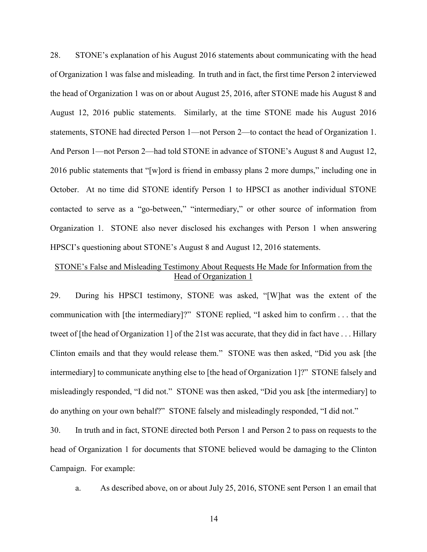28. STONE's explanation of his August 2016 statements about communicating with the head of Organization 1 was false and misleading. In truth and in fact, the first time Person 2 interviewed the head of Organization 1 was on or about August 25, 2016, after STONE made his August 8 and August 12, 2016 public statements. Similarly, at the time STONE made his August 2016 statements, STONE had directed Person 1—not Person 2—to contact the head of Organization 1. And Person 1—not Person 2—had told STONE in advance of STONE's August 8 and August 12, 2016 public statements that "[w]ord is friend in embassy plans 2 more dumps," including one in October. At no time did STONE identify Person 1 to HPSCI as another individual STONE contacted to serve as a "go-between," "intermediary," or other source of information from Organization 1. STONE also never disclosed his exchanges with Person 1 when answering HPSCI's questioning about STONE's August 8 and August 12, 2016 statements.

# STONE's False and Misleading Testimony About Requests He Made for Information from the Head of Organization 1

29. During his HPSCI testimony, STONE was asked, "[W]hat was the extent of the communication with [the intermediary]?" STONE replied, "I asked him to confirm . . . that the tweet of [the head of Organization 1] of the 21st was accurate, that they did in fact have . . . Hillary Clinton emails and that they would release them." STONE was then asked, "Did you ask [the intermediary] to communicate anything else to [the head of Organization 1]?" STONE falsely and misleadingly responded, "I did not." STONE was then asked, "Did you ask [the intermediary] to do anything on your own behalf?" STONE falsely and misleadingly responded, "I did not."

30. In truth and in fact, STONE directed both Person 1 and Person 2 to pass on requests to the head of Organization 1 for documents that STONE believed would be damaging to the Clinton Campaign. For example:

a. As described above, on or about July 25, 2016, STONE sent Person 1 an email that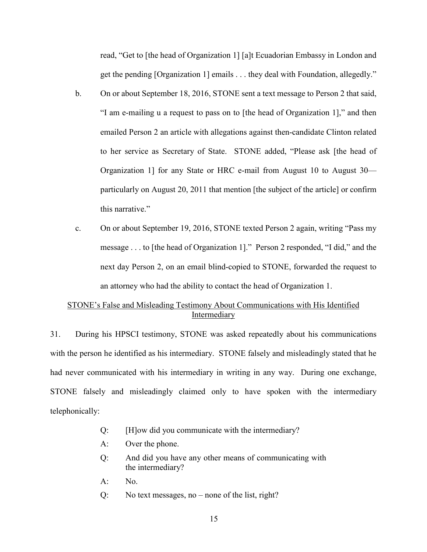read, "Get to [the head of Organization 1] [a]t Ecuadorian Embassy in London and get the pending [Organization 1] emails . . . they deal with Foundation, allegedly."

- b. On or about September 18, 2016, STONE sent a text message to Person 2 that said, "I am e-mailing u a request to pass on to [the head of Organization 1]," and then emailed Person 2 an article with allegations against then-candidate Clinton related to her service as Secretary of State. STONE added, "Please ask [the head of Organization 1] for any State or HRC e-mail from August 10 to August 30 particularly on August 20, 2011 that mention [the subject of the article] or confirm this narrative."
- c. On or about September 19, 2016, STONE texted Person 2 again, writing "Pass my message . . . to [the head of Organization 1]." Person 2 responded, "I did," and the next day Person 2, on an email blind-copied to STONE, forwarded the request to an attorney who had the ability to contact the head of Organization 1.

## STONE's False and Misleading Testimony About Communications with His Identified Intermediary

31. During his HPSCI testimony, STONE was asked repeatedly about his communications with the person he identified as his intermediary. STONE falsely and misleadingly stated that he had never communicated with his intermediary in writing in any way. During one exchange, STONE falsely and misleadingly claimed only to have spoken with the intermediary telephonically:

- Q: [H]ow did you communicate with the intermediary?
- A: Over the phone.
- Q: And did you have any other means of communicating with the intermediary?
- A: No.
- Q: No text messages, no none of the list, right?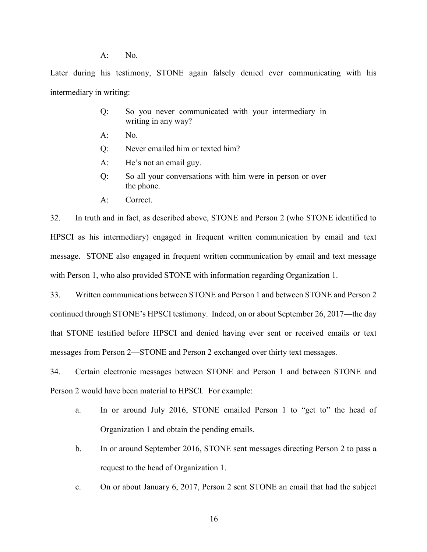A: No.

Later during his testimony, STONE again falsely denied ever communicating with his intermediary in writing:

- Q: So you never communicated with your intermediary in writing in any way?
- $A:$  No.
- Q: Never emailed him or texted him?
- A: He's not an email guy.
- Q: So all your conversations with him were in person or over the phone.
- A: Correct.

32. In truth and in fact, as described above, STONE and Person 2 (who STONE identified to HPSCI as his intermediary) engaged in frequent written communication by email and text message. STONE also engaged in frequent written communication by email and text message with Person 1, who also provided STONE with information regarding Organization 1.

33. Written communications between STONE and Person 1 and between STONE and Person 2 continued through STONE's HPSCI testimony. Indeed, on or about September 26, 2017—the day that STONE testified before HPSCI and denied having ever sent or received emails or text messages from Person 2—STONE and Person 2 exchanged over thirty text messages.

34. Certain electronic messages between STONE and Person 1 and between STONE and Person 2 would have been material to HPSCI. For example:

- a. In or around July 2016, STONE emailed Person 1 to "get to" the head of Organization 1 and obtain the pending emails.
- b. In or around September 2016, STONE sent messages directing Person 2 to pass a request to the head of Organization 1.
- c. On or about January 6, 2017, Person 2 sent STONE an email that had the subject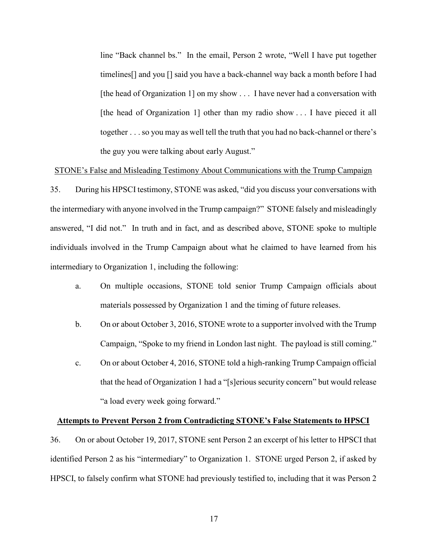line "Back channel bs." In the email, Person 2 wrote, "Well I have put together timelines[] and you [] said you have a back-channel way back a month before I had [the head of Organization 1] on my show . . . I have never had a conversation with [the head of Organization 1] other than my radio show . . . I have pieced it all together . . .so you may as well tell the truth that you had no back-channel or there's the guy you were talking about early August."

#### STONE's False and Misleading Testimony About Communications with the Trump Campaign

35. During his HPSCI testimony, STONE was asked, "did you discuss your conversations with the intermediary with anyone involved in the Trump campaign?" STONE falsely and misleadingly answered, "I did not." In truth and in fact, and as described above, STONE spoke to multiple individuals involved in the Trump Campaign about what he claimed to have learned from his intermediary to Organization 1, including the following:

- a. On multiple occasions, STONE told senior Trump Campaign officials about materials possessed by Organization 1 and the timing of future releases.
- b. On or about October 3, 2016, STONE wrote to a supporter involved with the Trump Campaign, "Spoke to my friend in London last night. The payload is still coming."
- c. On or about October 4, 2016, STONE told a high-ranking Trump Campaign official that the head of Organization 1 had a "[s]erious security concern" but would release "a load every week going forward."

#### **Attempts to Prevent Person 2 from Contradicting STONE's False Statements to HPSCI**

36. On or about October 19, 2017, STONE sent Person 2 an excerpt of his letter to HPSCI that identified Person 2 as his "intermediary" to Organization 1. STONE urged Person 2, if asked by HPSCI, to falsely confirm what STONE had previously testified to, including that it was Person 2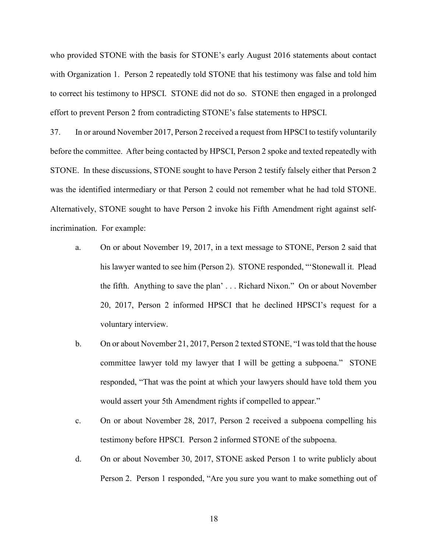who provided STONE with the basis for STONE's early August 2016 statements about contact with Organization 1. Person 2 repeatedly told STONE that his testimony was false and told him to correct his testimony to HPSCI. STONE did not do so. STONE then engaged in a prolonged effort to prevent Person 2 from contradicting STONE's false statements to HPSCI.

37. In or around November 2017, Person 2 received a request from HPSCI to testify voluntarily before the committee. After being contacted by HPSCI, Person 2 spoke and texted repeatedly with STONE. In these discussions, STONE sought to have Person 2 testify falsely either that Person 2 was the identified intermediary or that Person 2 could not remember what he had told STONE. Alternatively, STONE sought to have Person 2 invoke his Fifth Amendment right against selfincrimination. For example:

- a. On or about November 19, 2017, in a text message to STONE, Person 2 said that his lawyer wanted to see him (Person 2). STONE responded, "'Stonewall it. Plead the fifth. Anything to save the plan' . . . Richard Nixon." On or about November 20, 2017, Person 2 informed HPSCI that he declined HPSCI's request for a voluntary interview.
- b. On or about November 21, 2017, Person 2 texted STONE, "I wastold that the house committee lawyer told my lawyer that I will be getting a subpoena." STONE responded, "That was the point at which your lawyers should have told them you would assert your 5th Amendment rights if compelled to appear."
- c. On or about November 28, 2017, Person 2 received a subpoena compelling his testimony before HPSCI. Person 2 informed STONE of the subpoena.
- d. On or about November 30, 2017, STONE asked Person 1 to write publicly about Person 2. Person 1 responded, "Are you sure you want to make something out of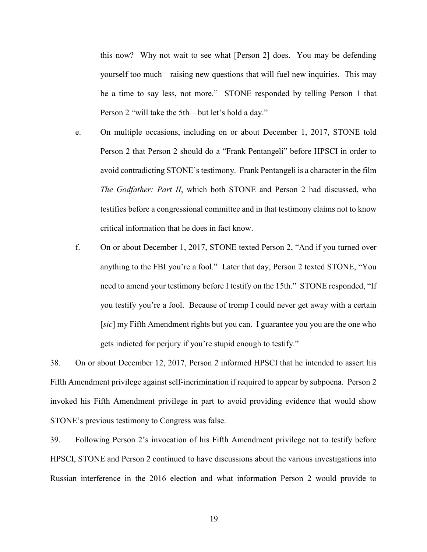this now? Why not wait to see what [Person 2] does. You may be defending yourself too much—raising new questions that will fuel new inquiries. This may be a time to say less, not more." STONE responded by telling Person 1 that Person 2 "will take the 5th—but let's hold a day."

- e. On multiple occasions, including on or about December 1, 2017, STONE told Person 2 that Person 2 should do a "Frank Pentangeli" before HPSCI in order to avoid contradicting STONE's testimony. Frank Pentangeli is a character in the film *The Godfather: Part II*, which both STONE and Person 2 had discussed, who testifies before a congressional committee and in that testimony claims not to know critical information that he does in fact know.
- f. On or about December 1, 2017, STONE texted Person 2, "And if you turned over anything to the FBI you're a fool." Later that day, Person 2 texted STONE, "You need to amend your testimony before I testify on the 15th." STONE responded, "If you testify you're a fool. Because of tromp I could never get away with a certain [*sic*] my Fifth Amendment rights but you can. I guarantee you you are the one who gets indicted for perjury if you're stupid enough to testify."

38. On or about December 12, 2017, Person 2 informed HPSCI that he intended to assert his Fifth Amendment privilege against self-incrimination if required to appear by subpoena. Person 2 invoked his Fifth Amendment privilege in part to avoid providing evidence that would show STONE's previous testimony to Congress was false.

<span id="page-18-0"></span>39. Following Person 2's invocation of his Fifth Amendment privilege not to testify before HPSCI, STONE and Person 2 continued to have discussions about the various investigations into Russian interference in the 2016 election and what information Person 2 would provide to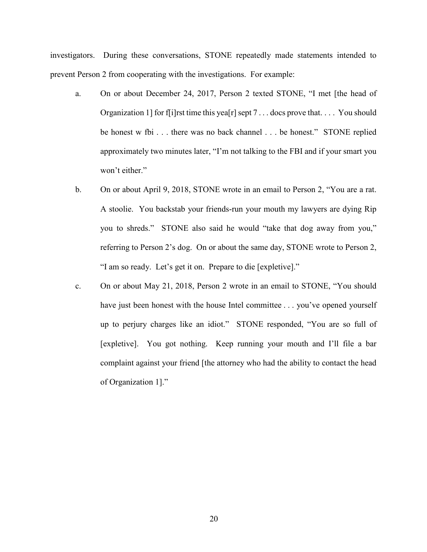investigators. During these conversations, STONE repeatedly made statements intended to prevent Person 2 from cooperating with the investigations. For example:

- a. On or about December 24, 2017, Person 2 texted STONE, "I met [the head of Organization 1] for f[i]rst time this yea[r] sept 7... docs prove that... You should be honest w fbi . . . there was no back channel . . . be honest." STONE replied approximately two minutes later, "I'm not talking to the FBI and if your smart you won't either."
- b. On or about April 9, 2018, STONE wrote in an email to Person 2, "You are a rat. A stoolie. You backstab your friends-run your mouth my lawyers are dying Rip you to shreds." STONE also said he would "take that dog away from you," referring to Person 2's dog. On or about the same day, STONE wrote to Person 2, "I am so ready. Let's get it on. Prepare to die [expletive]."
- c. On or about May 21, 2018, Person 2 wrote in an email to STONE, "You should have just been honest with the house Intel committee . . . you've opened yourself up to perjury charges like an idiot." STONE responded, "You are so full of [expletive]. You got nothing. Keep running your mouth and I'll file a bar complaint against your friend [the attorney who had the ability to contact the head of Organization 1]."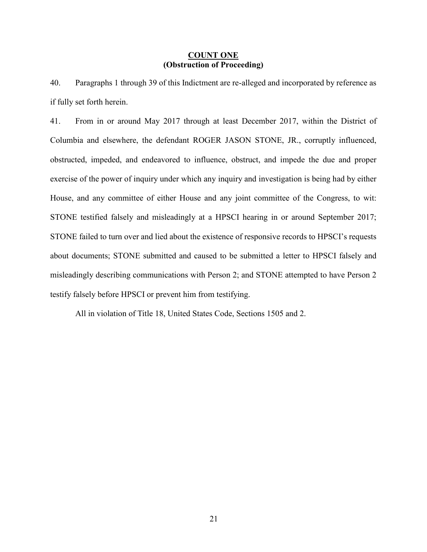### **COUNT ONE (Obstruction of Proceeding)**

40. Paragraphs [1](#page-0-0) through [39](#page-18-0) of this Indictment are re-alleged and incorporated by reference as if fully set forth herein.

41. From in or around May 2017 through at least December 2017, within the District of Columbia and elsewhere, the defendant ROGER JASON STONE, JR., corruptly influenced, obstructed, impeded, and endeavored to influence, obstruct, and impede the due and proper exercise of the power of inquiry under which any inquiry and investigation is being had by either House, and any committee of either House and any joint committee of the Congress, to wit: STONE testified falsely and misleadingly at a HPSCI hearing in or around September 2017; STONE failed to turn over and lied about the existence of responsive records to HPSCI's requests about documents; STONE submitted and caused to be submitted a letter to HPSCI falsely and misleadingly describing communications with Person 2; and STONE attempted to have Person 2 testify falsely before HPSCI or prevent him from testifying.

All in violation of Title 18, United States Code, Sections 1505 and 2.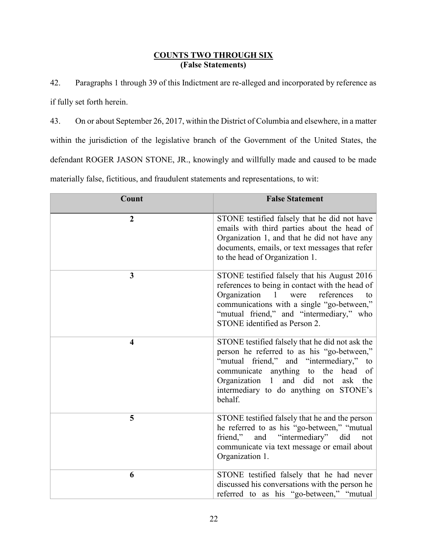# **COUNTS TWO THROUGH SIX (False Statements)**

42. Paragraphs [1](#page-0-0) through [39](#page-18-0) of this Indictment are re-alleged and incorporated by reference as if fully set forth herein.

43. On or about September 26, 2017, within the District of Columbia and elsewhere, in a matter within the jurisdiction of the legislative branch of the Government of the United States, the defendant ROGER JASON STONE, JR., knowingly and willfully made and caused to be made materially false, fictitious, and fraudulent statements and representations, to wit:

| Count                   | <b>False Statement</b>                                                                                                                                                                                                                                                                 |
|-------------------------|----------------------------------------------------------------------------------------------------------------------------------------------------------------------------------------------------------------------------------------------------------------------------------------|
| $\overline{2}$          | STONE testified falsely that he did not have<br>emails with third parties about the head of<br>Organization 1, and that he did not have any<br>documents, emails, or text messages that refer<br>to the head of Organization 1.                                                        |
| 3                       | STONE testified falsely that his August 2016<br>references to being in contact with the head of<br>Organization<br>references<br>1 were<br>to<br>communications with a single "go-between,"<br>"mutual friend," and "intermediary," who<br>STONE identified as Person 2.               |
| $\overline{\mathbf{4}}$ | STONE testified falsely that he did not ask the<br>person he referred to as his "go-between,"<br>"mutual friend," and "intermediary,"<br>to<br>communicate anything to the head of<br>and did not<br>Organization 1<br>the<br>ask<br>intermediary to do anything on STONE's<br>behalf. |
| 5                       | STONE testified falsely that he and the person<br>he referred to as his "go-between," "mutual<br>friend," and "intermediary" did<br>not<br>communicate via text message or email about<br>Organization 1.                                                                              |
| 6                       | STONE testified falsely that he had never<br>discussed his conversations with the person he<br>referred to as his "go-between," "mutual                                                                                                                                                |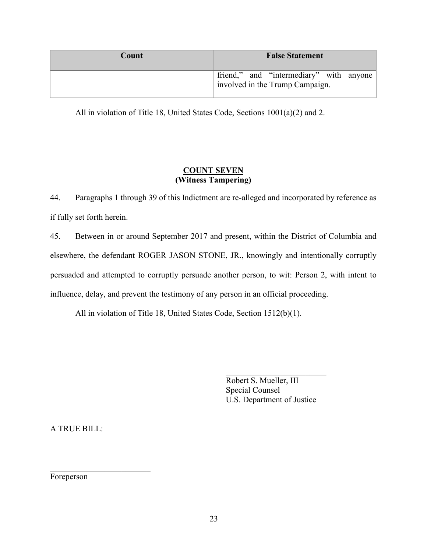| Count | <b>False Statement</b>                                                     |
|-------|----------------------------------------------------------------------------|
|       | friend," and "intermediary" with anyone<br>involved in the Trump Campaign. |

All in violation of Title 18, United States Code, Sections 1001(a)(2) and 2.

# **COUNT SEVEN (Witness Tampering)**

44. Paragraphs [1](#page-0-0) through [39](#page-18-0) of this Indictment are re-alleged and incorporated by reference as if fully set forth herein.

45. Between in or around September 2017 and present, within the District of Columbia and elsewhere, the defendant ROGER JASON STONE, JR., knowingly and intentionally corruptly persuaded and attempted to corruptly persuade another person, to wit: Person 2, with intent to influence, delay, and prevent the testimony of any person in an official proceeding.

All in violation of Title 18, United States Code, Section 1512(b)(1).

\_\_\_\_\_\_\_\_\_\_\_\_\_\_\_\_\_\_\_\_\_\_\_\_ Robert S. Mueller, III Special Counsel U.S. Department of Justice

A TRUE BILL:

\_\_\_\_\_\_\_\_\_\_\_\_\_\_\_\_\_\_\_\_\_\_\_\_

Foreperson